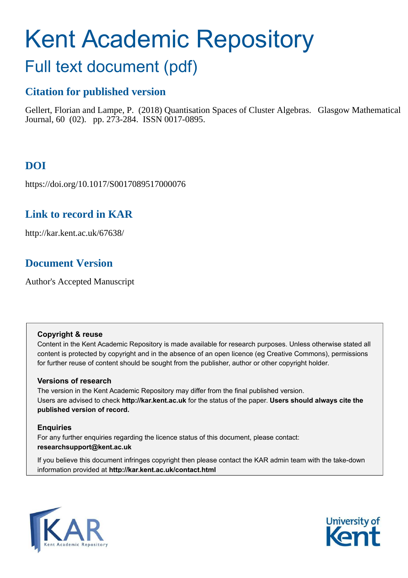# Kent Academic Repository

## Full text document (pdf)

## **Citation for published version**

Gellert, Florian and Lampe, P. (2018) Quantisation Spaces of Cluster Algebras. Glasgow Mathematical Journal, 60 (02). pp. 273-284. ISSN 0017-0895.

## **DOI**

https://doi.org/10.1017/S0017089517000076

## **Link to record in KAR**

http://kar.kent.ac.uk/67638/

## **Document Version**

Author's Accepted Manuscript

#### **Copyright & reuse**

Content in the Kent Academic Repository is made available for research purposes. Unless otherwise stated all content is protected by copyright and in the absence of an open licence (eg Creative Commons), permissions for further reuse of content should be sought from the publisher, author or other copyright holder.

#### **Versions of research**

The version in the Kent Academic Repository may differ from the final published version. Users are advised to check **http://kar.kent.ac.uk** for the status of the paper. **Users should always cite the published version of record.**

#### **Enquiries**

For any further enquiries regarding the licence status of this document, please contact: **researchsupport@kent.ac.uk**

If you believe this document infringes copyright then please contact the KAR admin team with the take-down information provided at **http://kar.kent.ac.uk/contact.html**



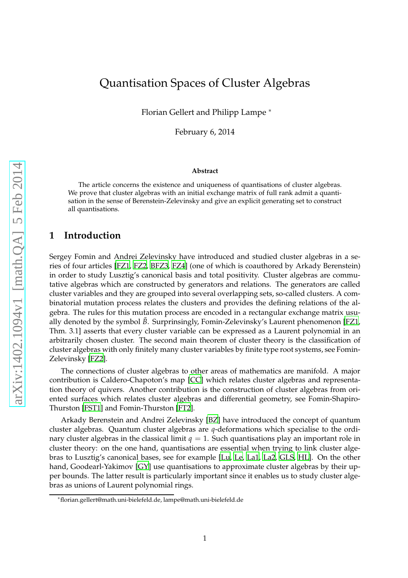## Quantisation Spaces of Cluster Algebras

Florian Gellert and Philipp Lampe <sup>∗</sup>

February 6, 2014

#### **Abstract**

The article concerns the existence and uniqueness of quantisations of cluster algebras. We prove that cluster algebras with an initial exchange matrix of full rank admit a quantisation in the sense of Berenstein-Zelevinsky and give an explicit generating set to construct all quantisations.

#### **1 Introduction**

Sergey Fomin and Andrei Zelevinsky have introduced and studied cluster algebras in a series of four articles [\[FZ1](#page-9-0), [FZ2,](#page-9-1) [BFZ3](#page-8-0), [FZ4\]](#page-9-2) (one of which is coauthored by Arkady Berenstein) in order to study Lusztig's canonical basis and total positivity. Cluster algebras are commutative algebras which are constructed by generators and relations. The generators are called cluster variables and they are grouped into several overlapping sets, so-called clusters. A combinatorial mutation process relates the clusters and provides the defining relations of the algebra. The rules for this mutation process are encoded in a rectangular exchange matrix usually denoted by the symbol  $\tilde{B}$ . Surprinsingly, Fomin-Zelevinsky's Laurent phenomenon [\[FZ1,](#page-9-0) Thm. 3.1] asserts that every cluster variable can be expressed as a Laurent polynomial in an arbitrarily chosen cluster. The second main theorem of cluster theory is the classification of cluster algebras with only finitely many cluster variables by finite type root systems, see Fomin-Zelevinsky [\[FZ2](#page-9-1)].

The connections of cluster algebras to other areas of mathematics are manifold. A major contribution is Caldero-Chapoton's map [\[CC\]](#page-9-3) which relates cluster algebras and representation theory of quivers. Another contribution is the construction of cluster algebras from oriented surfaces which relates cluster algebras and differential geometry, see Fomin-Shapiro-Thurston [\[FST1\]](#page-9-4) and Fomin-Thurston [\[FT2](#page-9-5)].

Arkady Berenstein and Andrei Zelevinsky [\[BZ\]](#page-8-1) have introduced the concept of quantum cluster algebras. Quantum cluster algebras are *q*-deformations which specialise to the ordinary cluster algebras in the classical limit  $q = 1$ . Such quantisations play an important role in cluster theory: on the one hand, quantisations are essential when trying to link cluster algebras to Lusztig's canonical bases, see for example [\[Lu,](#page-10-0) [Le,](#page-10-1) [La1,](#page-9-6) [La2,](#page-9-7) [GLS,](#page-9-8) [HL\]](#page-9-9). On the other hand, Goodearl-Yakimov [\[GY\]](#page-9-10) use quantisations to approximate cluster algebras by their upper bounds. The latter result is particularly important since it enables us to study cluster algebras as unions of Laurent polynomial rings.

<sup>∗</sup>florian.gellert@math.uni-bielefeld.de, lampe@math.uni-bielefeld.de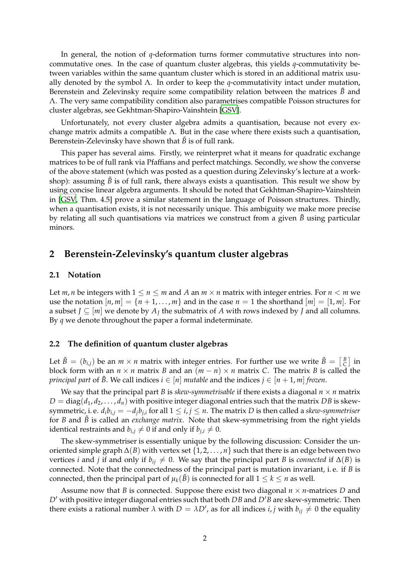In general, the notion of *q*-deformation turns former commutative structures into noncommutative ones. In the case of quantum cluster algebras, this yields *q*-commutativity between variables within the same quantum cluster which is stored in an additional matrix usually denoted by the symbol Λ. In order to keep the *q*-commutativity intact under mutation, Berenstein and Zelevinsky require some compatibility relation between the matrices *B*˜ and Λ. The very same compatibility condition also parametrises compatible Poisson structures for cluster algebras, see Gekhtman-Shapiro-Vainshtein [\[GSV\]](#page-9-11).

Unfortunately, not every cluster algebra admits a quantisation, because not every exchange matrix admits a compatible  $Λ$ . But in the case where there exists such a quantisation, Berenstein-Zelevinsky have shown that  $\tilde{B}$  is of full rank.

<span id="page-2-0"></span>This paper has several aims. Firstly, we reinterpret what it means for quadratic exchange matrices to be of full rank via Pfaffians and perfect matchings. Secondly, we show the converse of the above statement (which was posted as a question during Zelevinsky's lecture at a workshop): assuming  $\tilde{B}$  is of full rank, there always exists a quantisation. This result we show by using concise linear algebra arguments. It should be noted that Gekhtman-Shapiro-Vainshtein in [\[GSV,](#page-9-11) Thm. 4.5] prove a similar statement in the language of Poisson structures. Thirdly, when a quantisation exists, it is not necessarily unique. This ambiguity we make more precise by relating all such quantisations via matrices we construct from a given  $\ddot{B}$  using particular minors.

#### **2 Berenstein-Zelevinsky's quantum cluster algebras**

#### **2.1 Notation**

Let *m*, *n* be integers with  $1 \le n \le m$  and *A* an  $m \times n$  matrix with integer entries. For  $n < m$  we use the notation  $[n,m] = \{n+1,\ldots,m\}$  and in the case  $n=1$  the shorthand  $[m] = [1,m]$ . For a subset  $J \subseteq [m]$  we denote by  $A_J$  the submatrix of  $A$  with rows indexed by  $J$  and all columns. By *q* we denote throughout the paper a formal indeterminate.

#### **2.2 The definition of quantum cluster algebras**

Let  $\tilde{B} = (b_{i,j})$  be an  $m \times n$  matrix with integer entries. For further use we write  $\tilde{B} = \left[\frac{B}{C}\right]$  in block form with an  $n \times n$  matrix *B* and an  $(m - n) \times n$  matrix *C*. The matrix *B* is called the *principal part* of  $\tilde{B}$ . We call indices  $i \in [n]$  *mutable* and the indices  $j \in [n+1,m]$  *frozen*.

We say that the principal part *B* is *skew-symmetrisable* if there exists a diagonal  $n \times n$  matrix  $D = diag(d_1, d_2, \ldots, d_n)$  with positive integer diagonal entries such that the matrix *DB* is skewsymmetric, i. e.  $d_ib_{i,j} = -d_jb_{j,i}$  for all  $1 \leq i,j \leq n$ . The matrix  $D$  is then called a *skew-symmetriser* for *B* and *B* is called an *exchange matrix*. Note that skew-symmetrising from the right yields identical restraints and  $b_{i,j} \neq 0$  if and only if  $b_{j,i} \neq 0$ .

The skew-symmetriser is essentially unique by the following discussion: Consider the unoriented simple graph ∆(*B*) with vertex set {1, 2, . . . , *n*} such that there is an edge between two vertices *i* and *j* if and only if  $b_{ij} \neq 0$ . We say that the principal part *B* is *connected* if  $\Delta(B)$  is connected. Note that the connectedness of the principal part is mutation invariant, i. e. if *B* is connected, then the principal part of  $\mu_k(\tilde{B})$  is connected for all  $1 \leq k \leq n$  as well.

Assume now that *B* is connected. Suppose there exist two diagonal *n* × *n*-matrices *D* and *D*′ with positive integer diagonal entries such that both *DB* and *D*′*B* are skew-symmetric. Then there exists a rational number  $\lambda$  with  $D = \lambda D'$ , as for all indices *i*, *j* with  $b_{ij} \neq 0$  the equality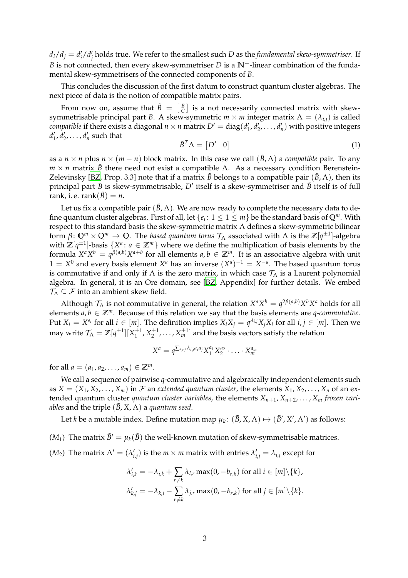$d_i/d_j = d'_i/d'_j$  holds true. We refer to the smallest such *D* as the *fundamental skew-symmetriser*. If *B* is not connected, then every skew-symmetriser *D* is a  $\mathbb{N}^+$ -linear combination of the fundamental skew-symmetrisers of the connected components of *B*.

This concludes the discussion of the first datum to construct quantum cluster algebras. The next piece of data is the notion of compatible matrix pairs.

From now on, assume that  $\tilde{B}~=~\left[~\begin{smallmatrix}B\ C \end{smallmatrix}\right]$  is a not necessarily connected matrix with skewsymmetrisable principal part *B*. A skew-symmetric  $m \times m$  integer matrix  $\Lambda = (\lambda_{i,j})$  is called *compatible* if there exists a diagonal  $n \times n$  matrix  $D' = diag(d'_1, d'_2, ..., d'_n)$  with positive integers  $d'_1, d'_2, \ldots, d'_n$  such that

$$
\tilde{B}^T \Lambda = \begin{bmatrix} D' & 0 \end{bmatrix} \tag{1}
$$

as a  $n \times n$  plus  $n \times (m - n)$  block matrix. In this case we call  $(\tilde{B}, \Lambda)$  a *compatible* pair. To any *m*  $\times$  *n* matrix *B*<sup> $\tilde{B}$  there need not exist a compatible Λ. As a necessary condition Berenstein-</sup> Zelevinsky [\[BZ](#page-8-1), Prop. 3.3] note that if a matrix  $\tilde{B}$  belongs to a compatible pair  $(\tilde{B}, \Lambda)$ , then its principal part *B* is skew-symmetrisable, *D*′ itself is a skew-symmetriser and *B*˜ itself is of full rank, i. e. rank $(\tilde{B}) = n$ .

Let us fix a compatible pair  $(\tilde{B}, \Lambda)$ . We are now ready to complete the necessary data to define quantum cluster algebras. First of all, let  $\{e_i\colon 1\leq 1\leq m\}$  be the standard basis of  $\mathbb{Q}^m$ . With respect to this standard basis the skew-symmetric matrix Λ defines a skew-symmetric bilinear form  $β\colon \mathbb{Q}^m \times \mathbb{Q}^m \to \mathbb{Q}$ . The *based quantum torus*  $\mathcal{T}_\Lambda$  *associated with*  $\Lambda$  *is the*  $\mathbb{Z}[q^{\pm 1}]$ *-algebra* with  $\mathbb{Z}[q^{\pm 1}]$ -basis  $\{X^a: a \in \mathbb{Z}^m\}$  where we define the multiplication of basis elements by the formula  $X^a X^b = q^{\beta(a,b)} X^{a+b}$  for all elements  $a, b \in \mathbb{Z}^m$ . It is an associative algebra with unit  $1 = X^0$  and every basis element  $X^a$  has an inverse  $(X^a)^{-1} = X^{-a}$ . The based quantum torus is commutative if and only if  $\Lambda$  is the zero matrix, in which case  $\mathcal{T}_{\Lambda}$  is a Laurent polynomial algebra. In general, it is an Ore domain, see [\[BZ,](#page-8-1) Appendix] for further details. We embed  $\mathcal{T}_{\Lambda} \subseteq \mathcal{F}$  into an ambient skew field.

Although  $\mathcal{T}_\Lambda$  is not commutative in general, the relation  $X^a X^b = q^{2\beta(a,b)} X^b X^a$  holds for all elements  $a, b \in \mathbb{Z}^m$ . Because of this relation we say that the basis elements are *q*-*commutative*. Put  $X_i = X^{e_i}$  for all  $i \in [m]$ . The definition implies  $X_i X_j = q^{\lambda_{i,j}} X_j X_i$  for all  $i, j \in [m]$ . Then we may write  $\mathcal{T}_\Lambda=\mathbb{Z}[q^{\pm 1}][X_1^{\pm 1},X_2^{\pm 1},\ldots,X_m^{\pm 1}]$  and the basis vectors satisfy the relation

$$
X^a = q^{\sum_{i>j} \lambda_{i,j}a_i a_j} X_1^{a_1} X_2^{a_2} \cdot \ldots \cdot X_m^{a_m}
$$

for all  $a = (a_1, a_2, \dots, a_m) \in \mathbb{Z}^m$ .

We call a sequence of pairwise *q*-commutative and algebraically independent elements such as  $X = (X_1, X_2, \ldots, X_m)$  in F an *extended quantum cluster*, the elements  $X_1, X_2, \ldots, X_n$  of an extended quantum cluster *quantum cluster variables*, the elements  $X_{n+1}, X_{n+2}, \ldots, X_m$  frozen vari*ables* and the triple  $(\tilde{B}, X, \Lambda)$  a *quantum seed*.

Let *k* be a mutable index. Define mutation map  $\mu_k\colon (\tilde B,X,\Lambda)\mapsto (\tilde B',X',\Lambda')$  as follows:

- ( $M_1$ ) The matrix  $\tilde{B}' = \mu_k(\tilde{B})$  the well-known mutation of skew-symmetrisable matrices.
- $(M_2)$  The matrix  $\Lambda' = (\lambda'_{i,j})$  is the  $m \times m$  matrix with entries  $\lambda'_{i,j} = \lambda_{i,j}$  except for

$$
\lambda'_{i,k} = -\lambda_{i,k} + \sum_{r \neq k} \lambda_{i,r} \max(0, -b_{r,k}) \text{ for all } i \in [m] \setminus \{k\},
$$
  

$$
\lambda'_{k,j} = -\lambda_{k,j} - \sum_{r \neq k} \lambda_{j,r} \max(0, -b_{r,k}) \text{ for all } j \in [m] \setminus \{k\}.
$$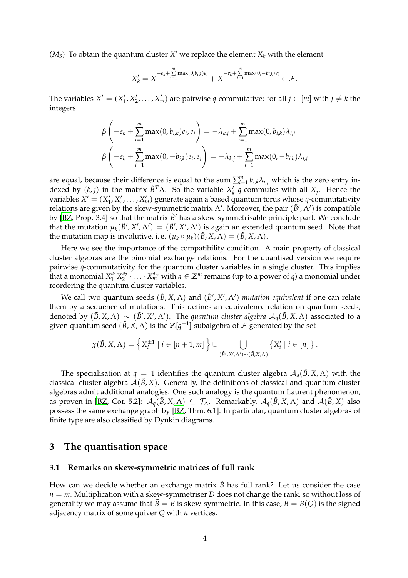$(M_3)$  To obtain the quantum cluster  $X'$  we replace the element  $X_k$  with the element

$$
X'_{k} = X^{-e_{k} + \sum_{i=1}^{m} \max(0,b_{i,k})e_{i}} + X^{-e_{k} + \sum_{i=1}^{m} \max(0,-b_{i,k})e_{i}} \in \mathcal{F}.
$$

The variables  $X' = (X'_1, X'_2, \ldots, X'_m)$  are pairwise *q*-commutative: for all  $j \in [m]$  with  $j \neq k$  the integers

$$
\beta\left(-e_k + \sum_{i=1}^m \max(0, b_{i,k})e_i, e_j\right) = -\lambda_{k,j} + \sum_{i=1}^m \max(0, b_{i,k})\lambda_{i,j}
$$
  

$$
\beta\left(-e_k + \sum_{i=1}^m \max(0, -b_{i,k})e_i, e_j\right) = -\lambda_{k,j} + \sum_{i=1}^m \max(0, -b_{i,k})\lambda_{i,j}
$$

are equal, because their difference is equal to the sum  $\sum_{i=1}^{m} b_{i,k} \lambda_{i,j}$  which is the zero entry indexed by  $(k, j)$  in the matrix  $\tilde{B}^T \Lambda$ . So the variable  $X'_k$  *q*-commutes with all  $X_j$ . Hence the variables  $X' = (X'_1, X'_2, \ldots, X'_m)$  generate again a based quantum torus whose *q*-commutativity relations are given by the skew-symmetric matrix  $\Lambda'$ . Moreover, the pair  $(\tilde B', \Lambda')$  is compatible by [\[BZ,](#page-8-1) Prop. 3.4] so that the matrix  $\tilde{B}'$  has a skew-symmetrisable principle part. We conclude that the mutation  $\mu_k(\tilde{B}', X', \Lambda') = (\tilde{B}', X', \Lambda')$  is again an extended quantum seed. Note that the mutation map is involutive, i. e.  $(\mu_k \circ \mu_k)(\tilde{B}, X, \Lambda) = (\tilde{B}, X, \Lambda)$ .

Here we see the importance of the compatibility condition. A main property of classical cluster algebras are the binomial exchange relations. For the quantised version we require pairwise *q*-commutativity for the quantum cluster variables in a single cluster. This implies that a monomial  $X_1^{a_1}X_2^{a_2}\cdot\ldots\cdot X_m^{a_m}$  with  $a\in\mathbb{Z}^m$  remains (up to a power of *q*) a monomial under reordering the quantum cluster variables.

<span id="page-4-1"></span>We call two quantum seeds  $(\tilde{B}, X, \Lambda)$  and  $(\tilde{B}', X', \Lambda')$  *mutation equivalent* if one can relate them by a sequence of mutations. This defines an equivalence relation on quantum seeds, denoted by  $(\tilde{B}, X, \Lambda) \sim (\tilde{B}', X', \Lambda')$ . The *quantum cluster algebra*  $A_q(\tilde{B}, X, \Lambda)$  associated to a given quantum seed  $(\tilde{B}, X, \Lambda)$  is the  $\mathbb{Z}[q^{\pm 1}]$ -subalgebra of  $\mathcal F$  generated by the set

$$
\chi(\tilde{B}, X, \Lambda) = \left\{ X_i^{\pm 1} \mid i \in [n+1, m] \right\} \cup \bigcup_{(\tilde{B}', X', \Lambda') \sim (\tilde{B}, X, \Lambda)} \left\{ X_i' \mid i \in [n] \right\}.
$$

The specialisation at  $q = 1$  identifies the quantum cluster algebra  $\mathcal{A}_q(\tilde{B}, X, \Lambda)$  with the classical cluster algebra  $A(\tilde{B}, X)$ . Generally, the definitions of classical and quantum cluster algebras admit additional analogies. One such analogy is the quantum Laurent phenomenon, as proven in [\[BZ](#page-8-1), Cor. 5.2]:  $\mathcal{A}_q(\tilde{B}, X, \Lambda) \subseteq \mathcal{T}_\Lambda$ . Remarkably,  $\mathcal{A}_q(\tilde{B}, X, \Lambda)$  and  $\mathcal{A}(\tilde{B}, X)$  also possess the same exchange graph by [\[BZ,](#page-8-1) Thm. 6.1]. In particular, quantum cluster algebras of finite type are also classified by Dynkin diagrams.

#### <span id="page-4-0"></span>**3 The quantisation space**

#### **3.1 Remarks on skew-symmetric matrices of full rank**

How can we decide whether an exchange matrix  $\tilde{B}$  has full rank? Let us consider the case  $n = m$ . Multiplication with a skew-symmetriser *D* does not change the rank, so without loss of generality we may assume that  $\tilde{B} = B$  is skew-symmetric. In this case,  $B = B(Q)$  is the signed adjacency matrix of some quiver *Q* with *n* vertices.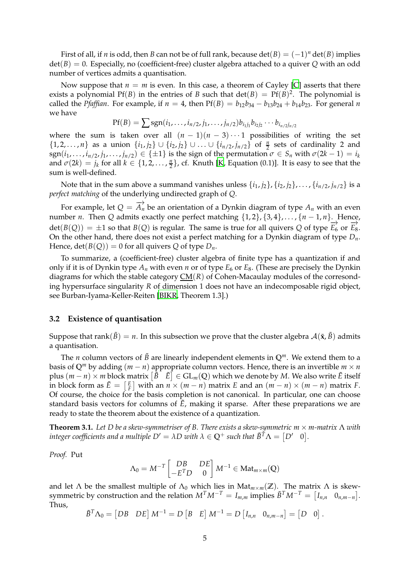First of all, if *n* is odd, then *B* can not be of full rank, because  $\det(B) = (-1)^n \det(B)$  implies det(*B*) = 0. Especially, no (coefficient-free) cluster algebra attached to a quiver *Q* with an odd number of vertices admits a quantisation.

Now suppose that  $n = m$  is even. In this case, a theorem of Cayley [\[C\]](#page-9-12) asserts that there exists a polynomial  $Pf(B)$  in the entries of *B* such that  $det(B) = Pf(B)^2$ . The polynomial is called the *Pfaffian*. For example, if  $n = 4$ , then  $Pf(B) = b_{12}b_{34} - b_{13}b_{24} + b_{14}b_{23}$ . For general *n* we have

$$
Pf(B) = \sum sgn(i_1, \ldots, i_{n/2}, j_1, \ldots, j_{n/2})b_{i_1j_1}b_{i_2j_2}\cdots b_{i_{n/2}j_{n/2}}
$$

where the sum is taken over all  $(n - 1)(n - 3) \cdots 1$  possibilities of writing the set {1, 2, . . . , *n*} as a union {*i*<sub>1</sub>, *j*<sub>2</sub>} ∪ {*i*<sub>2</sub>, *j*<sub>2</sub>} ∪ . . . ∪ {*i*<sub>*n*/2</sub>, *j*<sub>*n*/2</sub>} of  $\frac{n}{2}$  sets of cardinality 2 and sgn( $i_1, \ldots, i_{n/2}, j_1, \ldots, j_{n/2}$ ) ∈ { $\pm 1$ } is the sign of the permutation  $\sigma \in S_n$  with  $\sigma(2k-1) = i_k$ and  $\sigma(2k) = j_k$  for all  $k \in \{1, 2, ..., \frac{n}{2}\}$ , cf. Knuth [\[K](#page-9-13), Equation (0.1)]. It is easy to see that the sum is well-defined.

Note that in the sum above a summand vanishes unless  $\{i_1, i_2\}, \{i_2, i_2\}, \ldots, \{i_{n/2}, i_{n/2}\}$  is a *perfect matching* of the underlying undirected graph of *Q*.

For example, let  $Q = \overrightarrow{A}_n$  be an orientation of a Dynkin diagram of type  $A_n$  with an even number *n*. Then *Q* admits exactly one perfect matching  $\{1, 2\}$ ,  $\{3, 4\}$ , . . . ,  $\{n-1, n\}$ . Hence, det(*B*(*Q*)) = ±1 so that *B*(*Q*) is regular. The same is true for all quivers *Q* of type  $\overrightarrow{E_6}$  or  $\overrightarrow{E_8}$ . On the other hand, there does not exist a perfect matching for a Dynkin diagram of type *Dn*. Hence,  $det(B(Q)) = 0$  for all quivers *Q* of type  $D_n$ .

<span id="page-5-1"></span>To summarize, a (coefficient-free) cluster algebra of finite type has a quantization if and only if it is of Dynkin type  $A_n$  with even *n* or of type  $E_6$  or  $E_8$ . (These are precisely the Dynkin diagrams for which the stable category  $\underline{CM}(R)$  of Cohen-Macaulay modules of the corresonding hypersurface singularity *R* of dimension 1 does not have an indecomposable rigid object, see Burban-Iyama-Keller-Reiten [\[BIKR,](#page-9-14) Theorem 1.3].)

#### **3.2 Existence of quantisation**

Suppose that rank( $\tilde{B}$ ) = *n*. In this subsection we prove that the cluster algebra  $\mathcal{A}(\tilde{\mathbf{x}}, \tilde{B})$  admits a quantisation.

<span id="page-5-0"></span>The *n* column vectors of  $\tilde{B}$  are linearly independent elements in  $\mathbb{Q}^m$ . We extend them to a basis of  $\mathbb{Q}^m$  by adding  $(m - n)$  appropriate column vectors. Hence, there is an invertible  $m \times n$ plus  $(m-n)\times m$  block matrix  $\left[\tilde{B} \quad \tilde{E}\right]\in {\rm GL}_m({\mathbb Q})$  which we denote by  $M.$  We also write  $\tilde{E}$  itself in block form as  $\tilde{E} = \begin{bmatrix} E \\ F \end{bmatrix}$  with an  $n \times (m - n)$  matrix *E* and an  $(m - n) \times (m - n)$  matrix *F*. Of course, the choice for the basis completion is not canonical. In particular, one can choose standard basis vectors for columns of  $\tilde{E}$ , making it sparse. After these preparations we are ready to state the theorem about the existence of a quantization.

**Theorem 3.1.** *Let D be a skew-symmetriser of B. There exists a skew-symmetric m* × *m-matrix* Λ *with integer coefficients and a multiple*  $D' = \lambda D$  *with*  $\lambda \in \mathbb{Q}^+$  *such that*  $\tilde{B}^T\Lambda = \begin{bmatrix} D' & 0 \end{bmatrix}$ *.* 

*Proof.* Put

$$
\Lambda_0 = M^{-T} \begin{bmatrix} DB & DE \\ -E^T D & 0 \end{bmatrix} M^{-1} \in \text{Mat}_{m \times m}(\mathbb{Q})
$$

<span id="page-5-2"></span>and let  $\Lambda$  be the smallest multiple of  $\Lambda_0$  which lies in Mat<sub> $m \times m(\mathbb{Z})$ . The matrix  $\Lambda$  is skew-</sub> symmetric by construction and the relation  $M^TM^{-T} = I_{m,m}$  implies  $\tilde{B}^TM^{-T} = \begin{bmatrix} I_{n,n} & 0_{n,m-n} \end{bmatrix}$ . Thus,

$$
\tilde{B}^T \Lambda_0 = \begin{bmatrix} DB & DE \end{bmatrix} M^{-1} = D \begin{bmatrix} B & E \end{bmatrix} M^{-1} = D \begin{bmatrix} I_{n,n} & 0_{n,m-n} \end{bmatrix} = \begin{bmatrix} D & 0 \end{bmatrix}
$$

.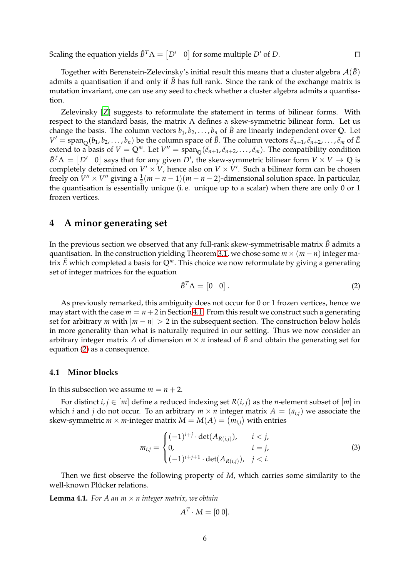Scaling the equation yields  $\tilde{B}^T \Lambda = \begin{bmatrix} D' & 0 \end{bmatrix}$  for some multiple  $D'$  of  $D$ .

Together with Berenstein-Zelevinsky's initial result this means that a cluster algebra  $\mathcal{A}(\tilde{B})$ admits a quantisation if and only if  $\tilde{B}$  has full rank. Since the rank of the exchange matrix is mutation invariant, one can use any seed to check whether a cluster algebra admits a quantisation.

Zelevinsky [\[Z\]](#page-10-2) suggests to reformulate the statement in terms of bilinear forms. With respect to the standard basis, the matrix Λ defines a skew-symmetric bilinear form. Let us change the basis. The column vectors  $b_1, b_2, \ldots, b_n$  of  $\tilde{B}$  are linearly independent over Q. Let  $V' = \text{span}_{\mathbb{Q}}(b_1, b_2, \dots, b_n)$  be the column space of  $\tilde{B}$ . The column vectors  $\tilde{e}_{n+1}, \tilde{e}_{n+2}, \dots, \tilde{e}_m$  of  $\tilde{E}$ extend to a basis of  $V = \mathbb{Q}^m$ . Let  $V'' = \text{span}_{\mathbb{Q}}(\tilde{e}_{n+1}, \tilde{e}_{n+2}, \ldots, \tilde{e}_m)$ . The compatibility condition  $\tilde{B}^T \Lambda = [D' \quad 0]$  says that for any given  $D'$ , the skew-symmetric bilinear form  $V \times V \to \mathbb{Q}$  is completely determined on  $V' \times V$ , hence also on  $V \times V'$ . Such a bilinear form can be chosen freely on  $V'' \times V''$  giving a  $\frac{1}{2}(m-n-1)(m-n-2)$ -dimensional solution space. In particular, the quantisation is essentially unique (i. e. unique up to a scalar) when there are only 0 or 1 frozen vertices.

#### **4 A minor generating set**

In the previous section we observed that any full-rank skew-symmetrisable matrix  $\tilde{B}$  admits a quantisation. In the construction yielding Theorem [3.1,](#page-4-0) we chose some  $m \times (m - n)$  integer matrix *E*˜ which completed a basis for **Q***m*. This choice we now reformulate by giving a generating set of integer matrices for the equation

$$
\tilde{B}^T \Lambda = \begin{bmatrix} 0 & 0 \end{bmatrix} . \tag{2}
$$

 $\Box$ 

As previously remarked, this ambiguity does not occur for 0 or 1 frozen vertices, hence we may start with the case  $m = n + 2$  in Section [4.1.](#page-5-0) From this result we construct such a generating set for arbitrary *m* with  $|m - n| > 2$  in the subsequent section. The construction below holds in more generality than what is naturally required in our setting. Thus we now consider an arbitrary integer matrix *A* of dimension  $m \times n$  instead of  $\tilde{B}$  and obtain the generating set for equation [\(2\)](#page-5-1) as a consequence.

#### **4.1 Minor blocks**

In this subsection we assume  $m = n + 2$ .

For distinct  $i, j \in [m]$  define a reduced indexing set  $R(i, j)$  as the *n*-element subset of  $[m]$  in which *i* and *j* do not occur. To an arbitrary  $m \times n$  integer matrix  $A = (a_{i,j})$  we associate the  $\mathbf{skew}\text{-symmetric } m \times m\text{-integer matrix } M = M(A) = \left( m_{i,j} \right) \text{ with entries }$ 

$$
m_{i,j} = \begin{cases} (-1)^{i+j} \cdot \det(A_{R(i,j)}), & i < j, \\ 0, & i = j, \\ (-1)^{i+j+1} \cdot \det(A_{R(i,j)}), & j < i. \end{cases} \tag{3}
$$

Then we first observe the following property of *M*, which carries some similarity to the well-known Plücker relations.

**Lemma 4.1.** *For A an*  $m \times n$  *integer matrix, we obtain* 

$$
A^T \cdot M = [0 0].
$$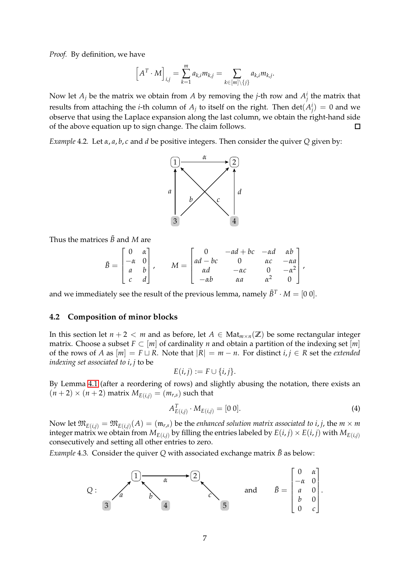*Proof.* By definition, we have

$$
\left[A^T \cdot M\right]_{i,j} = \sum_{k=1}^m a_{k,i} m_{k,j} = \sum_{k \in [m] \setminus \{j\}} a_{k,i} m_{k,j}.
$$

Now let  $A_j$  be the matrix we obtain from  $A$  by removing the *j*-th row and  $A_j^i$  the matrix that results from attaching the *i*-th column of  $A_j$  to itself on the right. Then  $\det(A_j^i) = 0$  and we observe that using the Laplace expansion along the last column, we obtain the right-hand side of the above equation up to sign change. The claim follows.  $\Box$ 

*Example* 4.2*.* Let *α*, *a*, *b*, *c* and *d* be positive integers. Then consider the quiver *Q* given by:



<span id="page-7-1"></span>Thus the matrices  $\tilde{B}$  and *M* are

$$
\tilde{B} = \begin{bmatrix} 0 & \alpha \\ -\alpha & 0 \\ a & b \\ c & d \end{bmatrix}, \qquad M = \begin{bmatrix} 0 & -ad + bc & -\alpha d & \alpha b \\ ad - bc & 0 & \alpha c & -\alpha a \\ \alpha d & -\alpha c & 0 & -\alpha^2 \\ -\alpha b & \alpha a & \alpha^2 & 0 \end{bmatrix},
$$

and we immediately see the result of the previous lemma, namely  $\tilde{B}^T \cdot M = [0\ 0].$ 

#### **4.2 Composition of minor blocks**

In this section let  $n + 2 < m$  and as before, let  $A \in Mat_{m \times n}(\mathbb{Z})$  be some rectangular integer matrix. Choose a subset  $F \subset [m]$  of cardinality *n* and obtain a partition of the indexing set [*m*] of the rows of *A* as  $[m] = F \sqcup R$ . Note that  $|R| = m - n$ . For distinct *i*, *j*  $\in R$  set the *extended indexing set associated to i*, *j* to be

<span id="page-7-0"></span>
$$
E(i,j) := F \cup \{i,j\}.
$$

By Lemma [4.1](#page-5-2) (after a reordering of rows) and slightly abusing the notation, there exists an  $(n+2) \times (n+2)$  matrix  $M_{E(i,j)} = (m_{r,s})$  such that

$$
A_{E(i,j)}^T \cdot M_{E(i,j)} = [0 \ 0]. \tag{4}
$$

Now let  $\mathfrak{M}_{E(i,j)} = \mathfrak{M}_{E(i,j)}(A) = (\mathfrak{m}_{r,s})$  be the *enhanced solution matrix associated to i*, *j*, the  $m \times m$ integer matrix we obtain from  $M_{E(i,j)}$  by filling the entries labeled by  $E(i,j) \times E(i,j)$  with  $M_{E(i,j)}$ consecutively and setting all other entries to zero.

*Example* 4.3. Consider the quiver *Q* with associated exchange matrix  $\tilde{B}$  as below:

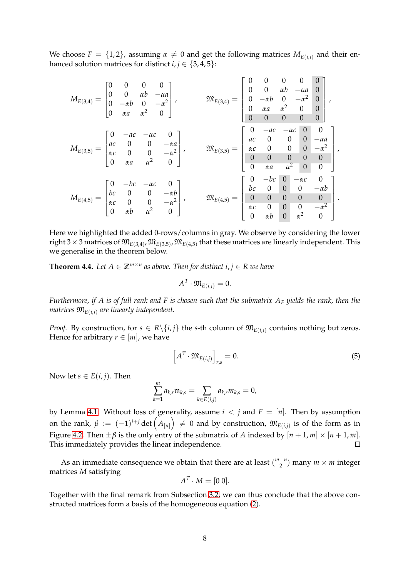We choose  $F = \{1, 2\}$ , assuming  $\alpha \neq 0$  and get the following matrices  $M_{E(i,j)}$  and their enhanced solution matrices for distinct  $i, j \in \{3, 4, 5\}$ :

| $\begin{bmatrix} 0 & 0 & 0 & 0 \\ 0 & 0 & \alpha b & -\alpha a \\ 0 & -\alpha b & 0 & -\alpha^2 \\ 0 & \alpha a & \alpha^2 & 0 \end{bmatrix}$ ,<br>$M_{E(3,4)}$ | $\mathfrak{M}_{E(3,4)} =$                                                                                                                                                                                       |                | $\boldsymbol{0}$<br>$\begin{vmatrix} 0 & 0 \\ 0 & -\alpha b \\ 0 & \alpha a \end{vmatrix}$<br>$\overline{0}$ | $\boldsymbol{0}$<br>$\alpha b$<br>$\frac{0}{\alpha^2}$<br>$\theta$                        | $\boldsymbol{0}$<br>$-\alpha a$<br>$-\alpha^2$   0<br>$\overline{0}$  | $\begin{array}{c} 0 \\ 0 \end{array}$<br>$\begin{matrix} 0 \\ 0 \\ 0 \end{matrix}$                                                                                                                 |
|-----------------------------------------------------------------------------------------------------------------------------------------------------------------|-----------------------------------------------------------------------------------------------------------------------------------------------------------------------------------------------------------------|----------------|--------------------------------------------------------------------------------------------------------------|-------------------------------------------------------------------------------------------|-----------------------------------------------------------------------|----------------------------------------------------------------------------------------------------------------------------------------------------------------------------------------------------|
| $M_{E(3,5)} = \begin{bmatrix} 0 & -ac & -\alpha c & 0 \\ ac & 0 & 0 & -\alpha a \\ \alpha c & 0 & 0 & -\alpha^2 \\ 0 & \alpha a & \alpha^2 & 0 \end{bmatrix},$  | $\mathfrak{M}_{E(3,5)}=% \begin{bmatrix} \omega_{0}-i\frac{\gamma_{\rm{QE}}}{2} & 0\\ 0 & \omega_{\rm{p}}-i\frac{\gamma_{\rm{p}}}{2} & 0\\ 0 & 0 & \omega_{\rm{p}}-i\frac{\gamma_{\rm{p}}}{2} \end{bmatrix}% ,$ | $\overline{0}$ | $\alpha$ a                                                                                                   | $\alpha^2$                                                                                | $\overline{0}$                                                        | $\left[\begin{array}{cccc} 0 & -ac & -\alpha c & 0 & 0 \\ ac & 0 & 0 & 0 & -\alpha a \\ \alpha c & 0 & 0 & 0 & -\alpha^2 \\ 0 & 0 & 0 & 0 & 0 \\ 0 & \alpha c & 0 & 0 & 0 \end{array}\right]$<br>0 |
| $M_{E(4,5)} = \begin{bmatrix} 0 & -bc & -\alpha c & 0 \\ bc & 0 & 0 & -\alpha b \\ \alpha c & 0 & 0 & -\alpha^2 \\ 0 & \alpha b & \alpha^2 & 0 \end{bmatrix},$  | $\mathfrak{M}_{E(4,5)}$                                                                                                                                                                                         | $\overline{0}$ | $-bc$<br>$bc$ 0<br>0 0<br>$\alpha c$ 0<br>$\alpha b$                                                         | $\theta$<br>$\begin{matrix} 0 \\ 0 \end{matrix}$<br>$\begin{array}{c} 0 \\ 0 \end{array}$ | $-\alpha c$<br>$\boldsymbol{0}$<br>$\boldsymbol{0}$<br>$0$ $\alpha^2$ | $-\alpha b$<br>$\boldsymbol{0}$<br>$\begin{bmatrix} -\alpha^2 \\ 0 \end{bmatrix}$                                                                                                                  |

Here we highlighted the added 0-rows/columns in gray. We observe by considering the lower  $\min$   $3\times 3$  matrices of  $\mathfrak{M}_{E(3,4)}$ ,  $\mathfrak{M}_{E(3,5)}$ ,  $\mathfrak{M}_{E(4,5)}$  that these matrices are linearly independent. This we generalise in the theorem below.

**Theorem 4.4.** Let  $A \in \mathbb{Z}^{m \times n}$  as above. Then for distinct  $i, j \in R$  we have

$$
A^T\cdot \mathfrak{M}_{E(i,j)}=0.
$$

*Furthermore, if A is of full rank and F is chosen such that the submatrix A<sup>F</sup> yields the rank, then the matrices*  $\mathfrak{M}_{E(i,j)}$  *are linearly independent.* 

*Proof.* By construction, for  $s \in R \setminus \{i, j\}$  the *s*-th column of  $\mathfrak{M}_{E(i,i)}$  contains nothing but zeros. Hence for arbitrary  $r \in [m]$ , we have

$$
\left[A^T \cdot \mathfrak{M}_{E(i,j)}\right]_{r,s} = 0. \tag{5}
$$

Now let  $s \in E(i, j)$ . Then

$$
\sum_{k=1}^{m} a_{k,r} \mathfrak{m}_{k,s} = \sum_{k \in E(i,j)} a_{k,r} m_{k,s} = 0,
$$

by Lemma [4.1.](#page-5-2) Without loss of generality, assume  $i < j$  and  $F = [n]$ . Then by assumption on the rank,  $\beta\ :=\ (-1)^{i+j}\det\left(A_{[n]}\right)\ \neq\ 0$  and by construction,  $\mathfrak{M}_{E(i,j)}$  is of the form as in Figure [4.2.](#page-7-0) Then  $\pm \beta$  is the only entry of the submatrix of *A* indexed by  $[n + 1, m] \times [n + 1, m]$ .  $\Box$ This immediately provides the linear independence.

<span id="page-8-0"></span>As an immediate consequence we obtain that there are at least  $\binom{m-n}{2}$  $\binom{-n}{2}$  many  $m \times m$  integer matrices *M* satisfying

$$
A^T \cdot M = [0 0].
$$

<span id="page-8-1"></span>Together with the final remark from Subsection [3.2,](#page-4-1) we can thus conclude that the above constructed matrices form a basis of the homogeneous equation [\(2\)](#page-5-1).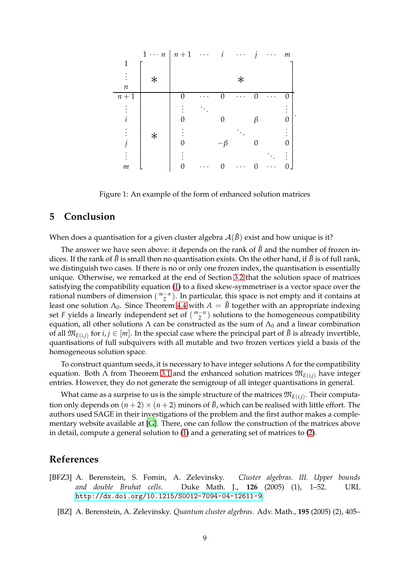<span id="page-9-14"></span><span id="page-9-3"></span>

<span id="page-9-12"></span><span id="page-9-4"></span>Figure 1: An example of the form of enhanced solution matrices

#### <span id="page-9-5"></span><span id="page-9-0"></span>**5 Conclusion**

<span id="page-9-1"></span>When does a quantisation for a given cluster algebra  $A(\tilde{B})$  exist and how unique is it?

<span id="page-9-8"></span><span id="page-9-2"></span>The answer we have seen above: it depends on the rank of *B* and the number of frozen indices. If the rank of  $\tilde{B}$  is small then no quantisation exists. On the other hand, if  $\tilde{B}$  is of full rank, we distinguish two cases. If there is no or only one frozen index, the quantisation is essentially unique. Otherwise, we remarked at the end of Section [3.2](#page-4-1) that the solution space of matrices satisfying the compatibility equation [\(1\)](#page-2-0) to a fixed skew-symmetriser is a vector space over the rational numbers of dimension ( $\binom{m-n}{2}$ ). In particular, this space is not empty and it contains at least one solution  $\Lambda_0$ . Since Theorem [4.4](#page-7-1) with  $A = \tilde{B}$  together with an appropriate indexing set *F* yields a linearly independent set of  $\binom{m-n}{2}$  solutions to the homogeneous compatibility equation, all other solutions  $\Lambda$  can be constructed as the sum of  $\Lambda_0$  and a linear combination of all  $\mathfrak{M}_{E(i,j)}$  for  $i, j \in [m]$ . In the special case where the principal part of  $\tilde{B}$  is already invertible, quantisations of full subquivers with all mutable and two frozen vertices yield a basis of the homogeneous solution space.

<span id="page-9-15"></span><span id="page-9-11"></span><span id="page-9-10"></span>To construct quantum seeds, it is necessary to have integer solutions  $\Lambda$  for the compatibility equation. Both Λ from Theorem [3.1](#page-4-0) and the enhanced solution matrices  $\mathfrak{M}_{E(i,j)}$  have integer entries. However, they do not generate the semigroup of all integer quantisations in general.

<span id="page-9-9"></span>What came as a surprise to us is the simple structure of the matrices  $\mathfrak{M}_{E(i,j)}$ . Their computation only depends on  $(n+2) \times (n+2)$  minors of  $\tilde{B}$ , which can be realised with little effort. The authors used SAGE in their investigations of the problem and the first author makes a complementary website available at [\[G](#page-9-15)]. There, one can follow the construction of the matrices above in detail, compute a general solution to [\(1\)](#page-2-0) and a generating set of matrices to [\(2\)](#page-5-1).

#### <span id="page-9-13"></span><span id="page-9-6"></span>**References**

- <span id="page-9-7"></span>[BFZ3] A. Berenstein, S. Fomin, A. Zelevinsky. *Cluster algebras. III. Upper bounds and double Bruhat cells*. Duke Math. J., **126** (2005) (1), 1–52. URL <http://dx.doi.org/10.1215/S0012-7094-04-12611-9>.
	- [BZ] A. Berenstein, A. Zelevinsky. *Quantum cluster algebras*. Adv. Math., **195** (2005) (2), 405–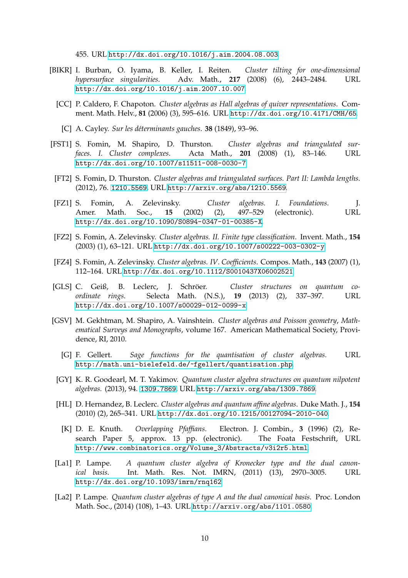<span id="page-10-1"></span>455. URL <http://dx.doi.org/10.1016/j.aim.2004.08.003>.

- <span id="page-10-2"></span><span id="page-10-0"></span>[BIKR] I. Burban, O. Iyama, B. Keller, I. Reiten. *Cluster tilting for one-dimensional hypersurface singularities*. Adv. Math., **217** (2008) (6), 2443–2484. URL <http://dx.doi.org/10.1016/j.aim.2007.10.007>.
	- [CC] P. Caldero, F. Chapoton. *Cluster algebras as Hall algebras of quiver representations*. Comment. Math. Helv., **81** (2006) (3), 595–616. URL <http://dx.doi.org/10.4171/CMH/65>.
		- [C] A. Cayley. *Sur les d´eterminants gauches*. **38** (1849), 93–96.
- [FST1] S. Fomin, M. Shapiro, D. Thurston. *Cluster algebras and triangulated surfaces. I. Cluster complexes*. Acta Math., **201** (2008) (1), 83–146. URL <http://dx.doi.org/10.1007/s11511-008-0030-7>.
- [FT2] S. Fomin, D. Thurston. *Cluster algebras and triangulated surfaces. Part II: Lambda lengths*. (2012), 76. <1210.5569>, URL <http://arxiv.org/abs/1210.5569>.
- [FZ1] S. Fomin, A. Zelevinsky. *Cluster algebras. I. Foundations*. J. Amer. Math. Soc., **15** (2002) (2), 497–529 (electronic). URL <http://dx.doi.org/10.1090/S0894-0347-01-00385-X>.
- [FZ2] S. Fomin, A. Zelevinsky. *Cluster algebras. II. Finite type classification*. Invent. Math., **154** (2003) (1), 63–121. URL <http://dx.doi.org/10.1007/s00222-003-0302-y>.
- [FZ4] S. Fomin, A. Zelevinsky. *Cluster algebras. IV. Coefficients*. Compos. Math., **143** (2007) (1), 112–164. URL <http://dx.doi.org/10.1112/S0010437X06002521>.
- [GLS] C. Geiß, B. Leclerc, J. Schröer. *Cluster structures on quantum coordinate rings*. Selecta Math. (N.S.), **19** (2013) (2), 337–397. URL <http://dx.doi.org/10.1007/s00029-012-0099-x>.
- [GSV] M. Gekhtman, M. Shapiro, A. Vainshtein. *Cluster algebras and Poisson geometry*, *Mathematical Surveys and Monographs*, volume 167. American Mathematical Society, Providence, RI, 2010.
	- [G] F. Gellert. *Sage functions for the quantisation of cluster algebras*. URL <http://math.uni-bielefeld.de/~fgellert/quantisation.php>.
- [GY] K. R. Goodearl, M. T. Yakimov. *Quantum cluster algebra structures on quantum nilpotent algebras*. (2013), 94. <1309.7869>, URL <http://arxiv.org/abs/1309.7869>.
- [HL] D. Hernandez, B. Leclerc. *Cluster algebras and quantum affine algebras*. Duke Math. J., **154** (2010) (2), 265–341. URL <http://dx.doi.org/10.1215/00127094-2010-040>.
	- [K] D. E. Knuth. *Overlapping Pfaffians*. Electron. J. Combin., **3** (1996) (2), Research Paper 5, approx. 13 pp. (electronic). The Foata Festschrift, URL [http://www.combinatorics.org/Volume\\_3/Abstracts/v3i2r5.html](http://www.combinatorics.org/Volume_3/Abstracts/v3i2r5.html).
- [La1] P. Lampe. *A quantum cluster algebra of Kronecker type and the dual canonical basis*. Int. Math. Res. Not. IMRN, (2011) (13), 2970–3005. URL <http://dx.doi.org/10.1093/imrn/rnq162>.
- [La2] P. Lampe. *Quantum cluster algebras of type A and the dual canonical basis*. Proc. London Math. Soc., (2014) (108), 1–43. URL <http://arxiv.org/abs/1101.0580>.